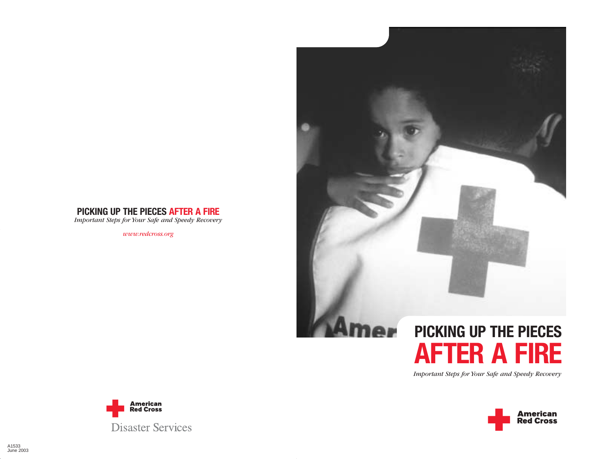# **PICKING UP THE PIECES AFTER A FIRE**

*Important Steps for Your Safe and Speedy Recovery*

*www.redcross.org*



# **PICKING UP THE PIECES AFTER A FIRE**

*Important Steps for Your Safe and Speedy Recovery*



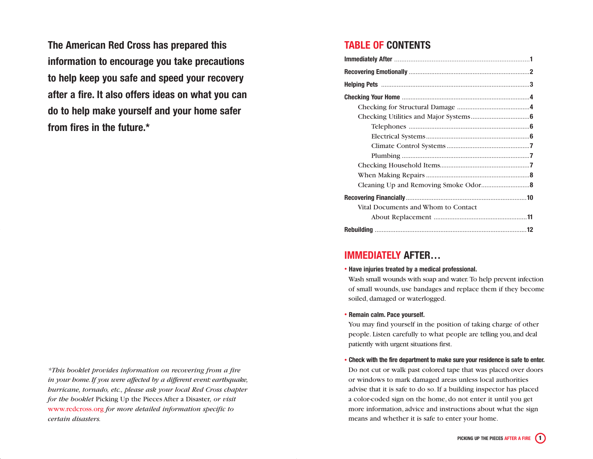**The American Red Cross has prepared this information to encourage you take precautions to help keep you safe and speed your recovery after a fire. It also offers ideas on what you can do to help make yourself and your home safer from fires in the future.\***

*\*This booklet provides information on recovering from a fire in your home.If you were affected by a different event: earthquake, hurricane, tornado, etc., please ask your local Red Cross chapter for the booklet* Picking Up the Pieces After a Disaster*, or visit* www.redcross.org *for more detailed information specific to certain disasters.*

# **TABLE OF CONTENTS**

| Vital Documents and Whom to Contact |  |
|-------------------------------------|--|
|                                     |  |
|                                     |  |

# **IMMEDIATELY AFTER…**

#### • **Have injuries treated by a medical professional.**

Wash small wounds with soap and water. To help prevent infection of small wounds, use bandages and replace them if they become soiled, damaged or waterlogged.

#### • **Remain calm. Pace yourself.**

You may find yourself in the position of taking charge of other people. Listen carefully to what people are telling you,and deal patiently with urgent situations first.

• **Check with the fire department to make sure your residence is safe to enter.**

Do not cut or walk past colored tape that was placed over doors or windows to mark damaged areas unless local authorities advise that it is safe to do so. If a building inspector has placed a color-coded sign on the home, do not enter it until you get more information, advice and instructions about what the sign means and whether it is safe to enter your home.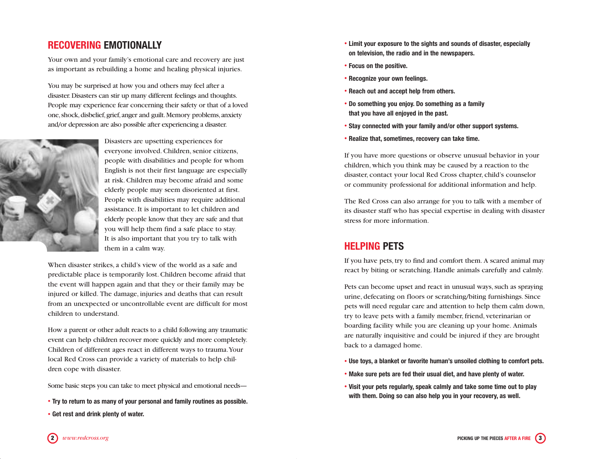# **RECOVERING EMOTIONALLY**

Your own and your family's emotional care and recovery are just as important as rebuilding a home and healing physical injuries.

You may be surprised at how you and others may feel after a disaster.Disasters can stir up many different feelings and thoughts. People may experience fear concerning their safety or that of a loved one,shock,disbelief,grief,anger and guilt.Memory problems,anxiety and/or depression are also possible after experiencing a disaster.



Disasters are upsetting experiences for everyone involved. Children, senior citizens, people with disabilities and people for whom English is not their first language are especially at risk. Children may become afraid and some elderly people may seem disoriented at first. People with disabilities may require additional assistance. It is important to let children and elderly people know that they are safe and that you will help them find a safe place to stay. It is also important that you try to talk with them in a calm way.

When disaster strikes, a child's view of the world as a safe and predictable place is temporarily lost. Children become afraid that the event will happen again and that they or their family may be injured or killed. The damage, injuries and deaths that can result from an unexpected or uncontrollable event are difficult for most children to understand.

How a parent or other adult reacts to a child following any traumatic event can help children recover more quickly and more completely. Children of different ages react in different ways to trauma.Your local Red Cross can provide a variety of materials to help children cope with disaster.

Some basic steps you can take to meet physical and emotional needs—

• **Try to return to as many of your personal and family routines as possible.** • **Get rest and drink plenty of water.**

- **Limit your exposure to the sights and sounds of disaster, especially on television, the radio and in the newspapers.**
- **Focus on the positive.**
- **Recognize your own feelings.**
- **Reach out and accept help from others.**
- **Do something you enjoy. Do something as a family that you have all enjoyed in the past.**
- **Stay connected with your family and/or other support systems.**
- **Realize that, sometimes, recovery can take time.**

If you have more questions or observe unusual behavior in your children, which you think may be caused by a reaction to the disaster, contact your local Red Cross chapter, child's counselor or community professional for additional information and help.

The Red Cross can also arrange for you to talk with a member of its disaster staff who has special expertise in dealing with disaster stress for more information.

# **HELPING PETS**

If you have pets, try to find and comfort them. A scared animal may react by biting or scratching. Handle animals carefully and calmly.

Pets can become upset and react in unusual ways, such as spraying urine, defecating on floors or scratching/biting furnishings. Since pets will need regular care and attention to help them calm down, try to leave pets with a family member, friend, veterinarian or boarding facility while you are cleaning up your home. Animals are naturally inquisitive and could be injured if they are brought back to a damaged home.

- **Use toys, a blanket or favorite human's unsoiled clothing to comfort pets.**
- **Make sure pets are fed their usual diet, and have plenty of water.**
- **Visit your pets regularly, speak calmly and take some time out to play with them. Doing so can also help you in your recovery, as well.**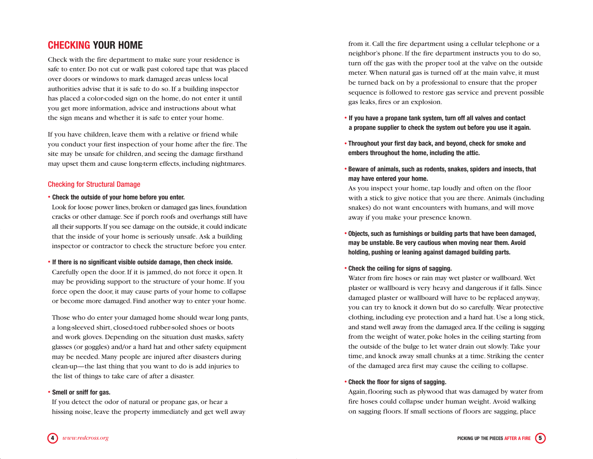# **CHECKING YOUR HOME**

Check with the fire department to make sure your residence is safe to enter. Do not cut or walk past colored tape that was placed over doors or windows to mark damaged areas unless local authorities advise that it is safe to do so. If a building inspector has placed a color-coded sign on the home, do not enter it until you get more information, advice and instructions about what the sign means and whether it is safe to enter your home.

If you have children, leave them with a relative or friend while you conduct your first inspection of your home after the fire. The site may be unsafe for children, and seeing the damage firsthand may upset them and cause long-term effects, including nightmares.

## Checking for Structural Damage

#### • **Check the outside of your home before you enter.**

Look for loose power lines, broken or damaged gas lines, foundation cracks or other damage. See if porch roofs and overhangs still have all their supports. If you see damage on the outside, it could indicate that the inside of your home is seriously unsafe. Ask a building inspector or contractor to check the structure before you enter.

#### • **If there is no significant visible outside damage, then check inside.**

Carefully open the door. If it is jammed, do not force it open. It may be providing support to the structure of your home. If you force open the door, it may cause parts of your home to collapse or become more damaged. Find another way to enter your home.

Those who do enter your damaged home should wear long pants, a long-sleeved shirt, closed-toed rubber-soled shoes or boots and work gloves. Depending on the situation dust masks, safety glasses (or goggles) and/or a hard hat and other safety equipment may be needed. Many people are injured after disasters during clean-up—the last thing that you want to do is add injuries to the list of things to take care of after a disaster.

#### • **Smell or sniff for gas.**

If you detect the odor of natural or propane gas, or hear a hissing noise, leave the property immediately and get well away from it. Call the fire department using a cellular telephone or a neighbor's phone. If the fire department instructs you to do so, turn off the gas with the proper tool at the valve on the outside meter. When natural gas is turned off at the main valve, it must be turned back on by a professional to ensure that the proper sequence is followed to restore gas service and prevent possible gas leaks, fires or an explosion.

- **If you have a propane tank system, turn off all valves and contact a propane supplier to check the system out before you use it again.**
- **Throughout your first day back, and beyond, check for smoke and embers throughout the home, including the attic.**
- **Beware of animals, such as rodents, snakes, spiders and insects, that may have entered your home.**

As you inspect your home, tap loudly and often on the floor with a stick to give notice that you are there. Animals (including snakes) do not want encounters with humans, and will move away if you make your presence known.

• **Objects, such as furnishings or building parts that have been damaged, may be unstable. Be very cautious when moving near them. Avoid holding, pushing or leaning against damaged building parts.**

## • **Check the ceiling for signs of sagging.**

Water from fire hoses or rain may wet plaster or wallboard. Wet plaster or wallboard is very heavy and dangerous if it falls. Since damaged plaster or wallboard will have to be replaced anyway, you can try to knock it down but do so carefully. Wear protective clothing, including eye protection and a hard hat. Use a long stick, and stand well away from the damaged area.If the ceiling is sagging from the weight of water, poke holes in the ceiling starting from the outside of the bulge to let water drain out slowly. Take your time, and knock away small chunks at a time. Striking the center of the damaged area first may cause the ceiling to collapse.

## • **Check the floor for signs of sagging.**

Again, flooring such as plywood that was damaged by water from fire hoses could collapse under human weight. Avoid walking on sagging floors. If small sections of floors are sagging, place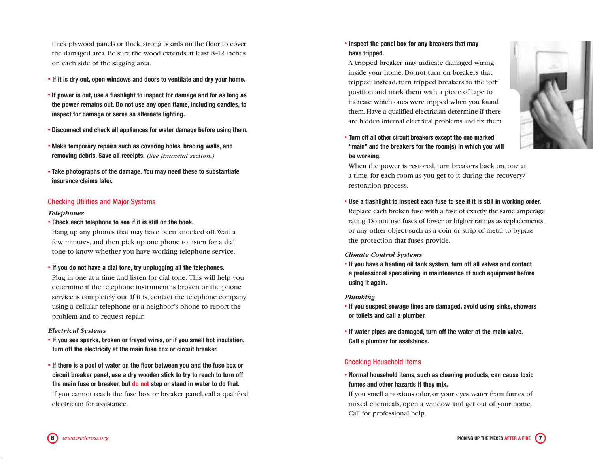thick plywood panels or thick, strong boards on the floor to cover the damaged area. Be sure the wood extends at least 8–12 inches on each side of the sagging area.

- **If it is dry out, open windows and doors to ventilate and dry your home.**
- **If power is out, use a flashlight to inspect for damage and for as long as the power remains out. Do not use any open flame, including candles, to inspect for damage or serve as alternate lighting.**
- **Disconnect and check all appliances for water damage before using them.**
- **Make temporary repairs such as covering holes, bracing walls, and removing debris. Save all receipts.** *(See financial section.)*
- **Take photographs of the damage. You may need these to substantiate insurance claims later.**

#### Checking Utilities and Major Systems

#### *Telephones*

• **Check each telephone to see if it is still on the hook.**

Hang up any phones that may have been knocked off.Wait a few minutes, and then pick up one phone to listen for a dial tone to know whether you have working telephone service.

• **If you do not have a dial tone, try unplugging all the telephones.**

Plug in one at a time and listen for dial tone. This will help you determine if the telephone instrument is broken or the phone service is completely out. If it is, contact the telephone company using a cellular telephone or a neighbor's phone to report the problem and to request repair.

#### *Electrical Systems*

- **If you see sparks, broken or frayed wires, or if you smell hot insulation, turn off the electricity at the main fuse box or circuit breaker.**
- **If there is a pool of water on the floor between you and the fuse box or circuit breaker panel, use a dry wooden stick to try to reach to turn off the main fuse or breaker, but do not step or stand in water to do that.** If you cannot reach the fuse box or breaker panel, call a qualified electrician for assistance.

## • **Inspect the panel box for any breakers that may have tripped.**

A tripped breaker may indicate damaged wiring inside your home. Do not turn on breakers that tripped; instead, turn tripped breakers to the "off" position and mark them with a piece of tape to indicate which ones were tripped when you found them. Have a qualified electrician determine if there are hidden internal electrical problems and fix them.



• **Turn off all other circuit breakers except the one marked "main" and the breakers for the room(s) in which you will be working.**

When the power is restored, turn breakers back on, one at a time, for each room as you get to it during the recovery/ restoration process.

• **Use a flashlight to inspect each fuse to see if it is still in working order.** Replace each broken fuse with a fuse of exactly the same amperage rating. Do not use fuses of lower or higher ratings as replacements, or any other object such as a coin or strip of metal to bypass the protection that fuses provide.

#### *Climate Control Systems*

• **If you have a heating oil tank system, turn off all valves and contact a professional specializing in maintenance of such equipment before using it again.**

#### *Plumbing*

- **If you suspect sewage lines are damaged, avoid using sinks, showers or toilets and call a plumber.**
- **If water pipes are damaged, turn off the water at the main valve. Call a plumber for assistance.**

#### Checking Household Items

• **Normal household items, such as cleaning products, can cause toxic fumes and other hazards if they mix.**

If you smell a noxious odor, or your eyes water from fumes of mixed chemicals, open a window and get out of your home. Call for professional help.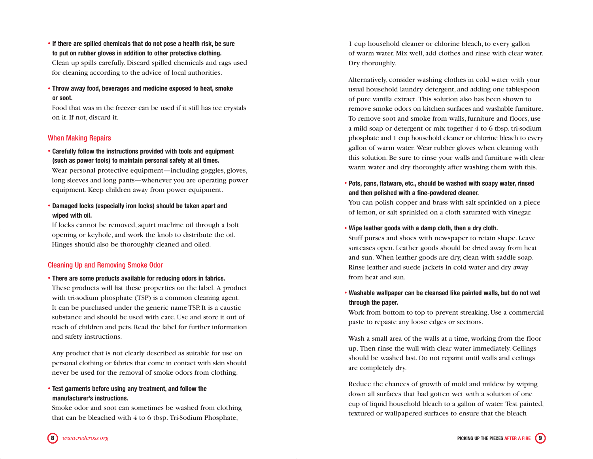- **If there are spilled chemicals that do not pose a health risk, be sure to put on rubber gloves in addition to other protective clothing.** Clean up spills carefully. Discard spilled chemicals and rags used for cleaning according to the advice of local authorities.
- **Throw away food, beverages and medicine exposed to heat, smoke or soot.**

Food that was in the freezer can be used if it still has ice crystals on it. If not, discard it.

## When Making Repairs

• **Carefully follow the instructions provided with tools and equipment (such as power tools) to maintain personal safety at all times.**

Wear personal protective equipment—including goggles, gloves, long sleeves and long pants—whenever you are operating power equipment. Keep children away from power equipment.

• **Damaged locks (especially iron locks) should be taken apart and wiped with oil.**

If locks cannot be removed, squirt machine oil through a bolt opening or keyhole, and work the knob to distribute the oil. Hinges should also be thoroughly cleaned and oiled.

## Cleaning Up and Removing Smoke Odor

• **There are some products available for reducing odors in fabrics.**

These products will list these properties on the label. A product with tri-sodium phosphate (TSP) is a common cleaning agent. It can be purchased under the generic name TSP. It is a caustic substance and should be used with care. Use and store it out of reach of children and pets. Read the label for further information and safety instructions.

Any product that is not clearly described as suitable for use on personal clothing or fabrics that come in contact with skin should never be used for the removal of smoke odors from clothing.

## • **Test garments before using any treatment, and follow the manufacturer's instructions.**

Smoke odor and soot can sometimes be washed from clothing that can be bleached with 4 to 6 tbsp. Tri-Sodium Phosphate,

1 cup household cleaner or chlorine bleach, to every gallon of warm water. Mix well, add clothes and rinse with clear water. Dry thoroughly.

Alternatively, consider washing clothes in cold water with your usual household laundry detergent, and adding one tablespoon of pure vanilla extract. This solution also has been shown to remove smoke odors on kitchen surfaces and washable furniture. To remove soot and smoke from walls, furniture and floors, use a mild soap or detergent or mix together 4 to 6 tbsp. tri-sodium phosphate and 1 cup household cleaner or chlorine bleach to every gallon of warm water. Wear rubber gloves when cleaning with this solution. Be sure to rinse your walls and furniture with clear warm water and dry thoroughly after washing them with this.

• **Pots, pans, flatware, etc., should be washed with soapy water, rinsed and then polished with a fine-powdered cleaner.**

You can polish copper and brass with salt sprinkled on a piece of lemon, or salt sprinkled on a cloth saturated with vinegar.

• **Wipe leather goods with a damp cloth, then a dry cloth.**

Stuff purses and shoes with newspaper to retain shape. Leave suitcases open. Leather goods should be dried away from heat and sun. When leather goods are dry, clean with saddle soap. Rinse leather and suede jackets in cold water and dry away from heat and sun.

• **Washable wallpaper can be cleansed like painted walls, but do not wet through the paper.**

Work from bottom to top to prevent streaking. Use a commercial paste to repaste any loose edges or sections.

Wash a small area of the walls at a time, working from the floor up. Then rinse the wall with clear water immediately. Ceilings should be washed last. Do not repaint until walls and ceilings are completely dry.

Reduce the chances of growth of mold and mildew by wiping down all surfaces that had gotten wet with a solution of one cup of liquid household bleach to a gallon of water. Test painted, textured or wallpapered surfaces to ensure that the bleach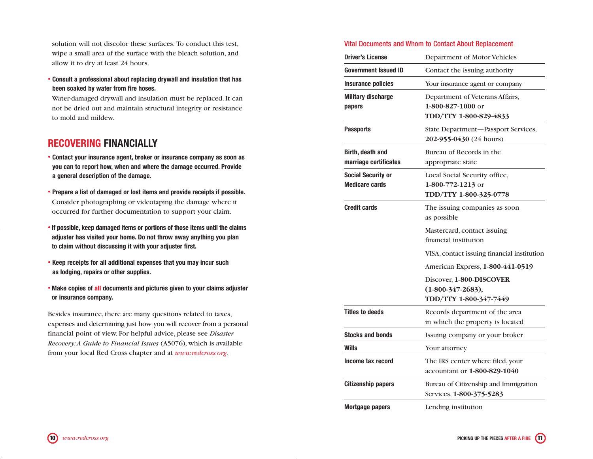solution will not discolor these surfaces. To conduct this test, wipe a small area of the surface with the bleach solution, and allow it to dry at least 24 hours.

• **Consult a professional about replacing drywall and insulation that has been soaked by water from fire hoses.**

Water-damaged drywall and insulation must be replaced. It can not be dried out and maintain structural integrity or resistance to mold and mildew.

# **RECOVERING FINANCIALLY**

- **Contact your insurance agent, broker or insurance company as soon as you can to report how, when and where the damage occurred. Provide a general description of the damage.**
- **Prepare a list of damaged or lost items and provide receipts if possible.** Consider photographing or videotaping the damage where it occurred for further documentation to support your claim.
- **If possible, keep damaged items or portions of those items until the claims adjuster has visited your home. Do not throw away anything you plan to claim without discussing it with your adjuster first.**
- **Keep receipts for all additional expenses that you may incur such as lodging, repairs or other supplies.**
- **Make copies of all documents and pictures given to your claims adjuster or insurance company.**

Besides insurance, there are many questions related to taxes, expenses and determining just how you will recover from a personal financial point of view. For helpful advice, please see *Disaster Recovery:A Guide to Financial Issues* (A5076), which is available from your local Red Cross chapter and at *www.redcross.org*.

## Vital Documents and Whom to Contact About Replacement

| <b>Driver's License</b>                            | Department of Motor Vehicles                                                   |
|----------------------------------------------------|--------------------------------------------------------------------------------|
| Government Issued ID                               | Contact the issuing authority                                                  |
| <b>Insurance policies</b>                          | Your insurance agent or company                                                |
| <b>Military discharge</b><br>papers                | Department of Veterans Affairs,<br>1-800-827-1000 or<br>TDD/TTY 1-800-829-4833 |
| <b>Passports</b>                                   | State Department-Passport Services,<br>202-955-0430 (24 hours)                 |
| Birth, death and<br>marriage certificates          | Bureau of Records in the<br>appropriate state                                  |
| <b>Social Security or</b><br><b>Medicare cards</b> | Local Social Security office,<br>$1-800-772-1213$ or<br>TDD/TTY 1-800-325-0778 |
| <b>Credit cards</b>                                | The issuing companies as soon<br>as possible                                   |
|                                                    | Mastercard, contact issuing<br>financial institution                           |
|                                                    | VISA, contact issuing financial institution                                    |
|                                                    | American Express, 1-800-441-0519                                               |
|                                                    | Discover, 1-800-DISCOVER<br>$(1-800-347-2683),$<br>TDD/TTY 1-800-347-7449      |
| <b>Titles to deeds</b>                             | Records department of the area<br>in which the property is located             |
| <b>Stocks and bonds</b>                            | Issuing company or your broker                                                 |
| Wills                                              | Your attorney                                                                  |
| Income tax record                                  | The IRS center where filed, your<br>accountant or 1-800-829-1040               |
| <b>Citizenship papers</b>                          | Bureau of Citizenship and Immigration<br>Services, 1-800-375-5283              |
| <b>Mortgage papers</b>                             | Lending institution                                                            |